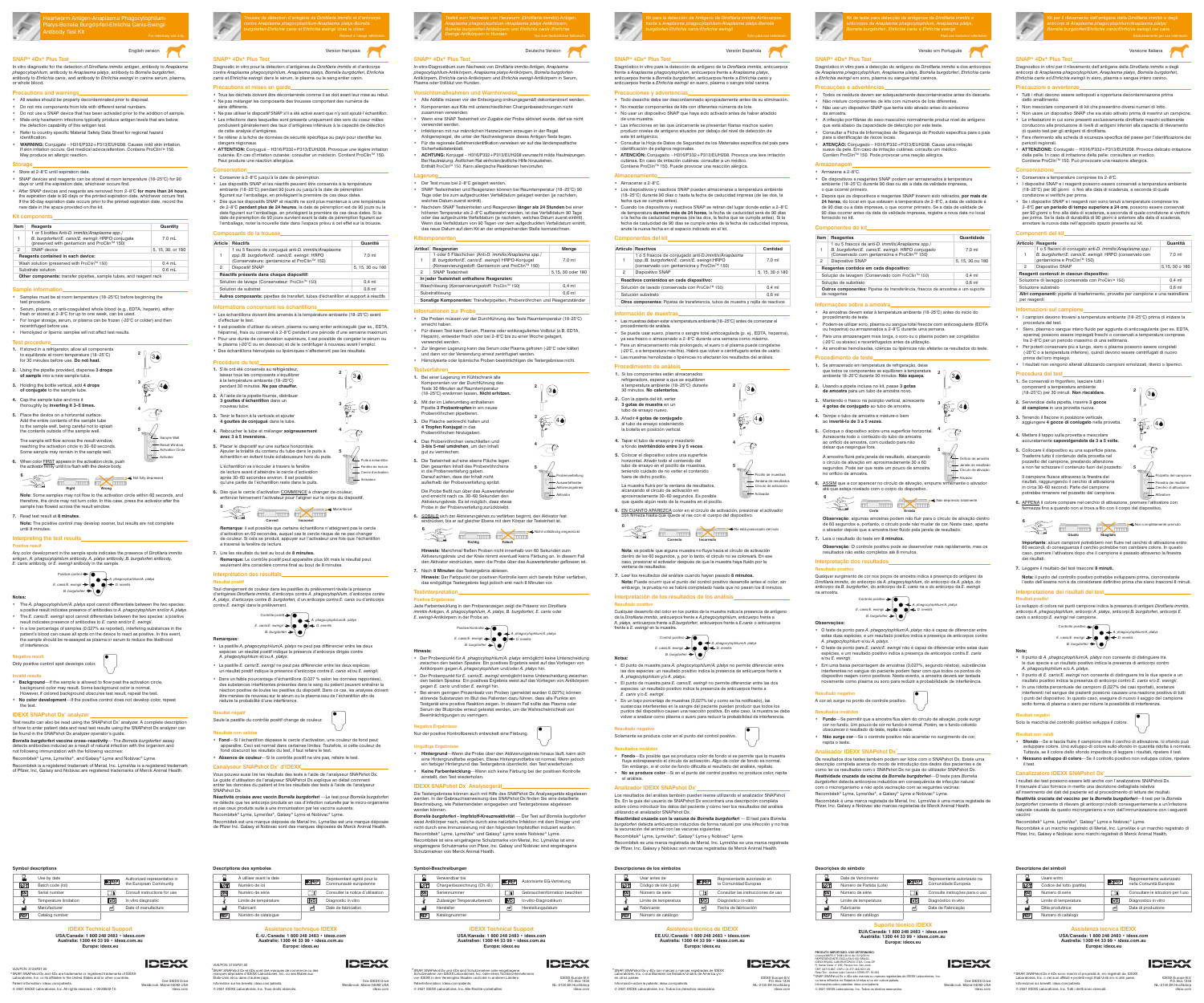SNAP\* 4Dx\* Plus Test

Diagnostico in vitro per il rilevamento dell'antigene della *Dirofilaria immitis* e degli anticorpi di *Anaplasma phagocytophilum, Anaplasma platys, Borrelia burgdorferi*, *Ehrlichia canis* ed *Ehrlichia ewingii* in siero, plasma o sangue intero canino.

• Tutti i rifiuti devono essere sottoposti a opportuna decontaminazione prima

dello smaltimento.

• Non mescolare componenti di kit che presentino diversi numeri di lotto. • Non usare un dispositivo SNAP che sia stato attivato prima di inserirvi un campione. • Le infestazioni in cui sono presenti esclusivamente dirofilarie maschi solitamente conducono alla produzione di livelli di antigeni inferiori alla capacità di rilevamento

di questo test per gli antigeni di dirofilaria.

• Fare riferimento alla scheda di sicurezza specifica del paese per l'identificazione dei

pericoli regionali.

• **ATTENZIONE:** Coniugato – H316/P332+P313/EUH208. Provoca delicato irritazione

della pelle. In caso di irritazione della pelle: consultare un medico. Contiene ProClinTM 150. Può provocare una reazione allergica.

Soluzione di lavaggio (conservata con ProClin<sup>™</sup> 150) 0,4 ml Soluzione substrato 0,6 ml **Altri componenti:** pipette di trasferimento, provette per campione e una rastrelliera

• Conservare a temperature comprese tra 2–8°C.

gentamicina e ProClin™ 150)

• I dispositivi SNAP e i reagenti possono essere conservati a temperatura ambiente (18–25°C) per 90 giorni o fino alla data di scadenza, a seconda di quale

condizione si verifichi per prima.

• Se i dispositivi SNAP e i reagenti non sono tenuti a temperature comprese tra 2–8°C **per un periodo di tempo superiore a 24 ore**, possono essere conservati per 90 giorni o fino alla data di scadenza, a seconda di quale condizione si verifichi per prima. Se la data di durabilità di 90 giorni è anteriore alla data di scadenza,

annotare la nuova data nell'apposito spazio presente sul kit.

Componenti del kit

**Articolo Reagente Quantità**

2 Dispositivo SNAP 5,15, 30 o 180

1

**6.** APPENA il colore compare nel cerchio di attivazione, premere l'attivatore con rmezza fino a quando non si trova a filo con il corpo del dispositivo.

1 o 5 flaconi di coniugato anti-*D. immitis/Anaplasma spp./ B. burgdorferi/E. canis/E. ewingii*: HRPO (conservato con

7,0 ml

**Reagenti contenuti in ciascun dispositivo:**

per reagenti

Informazioni sul campione

• I campioni devono trovarsi a temperatura ambiente (18–25°C) prima di iniziare la

procedura del test.

• Siero, plasma o sangue intero fluido per aggiunta di anticoagulante (per es. EDTA, eparina) possono essere impiegati freschi o conservati a temperature comprese tra 2–8°C per un periodo massimo di una settimana. • Per poterli conservare più a lungo, siero o plasma possono essere congelati (-20°C o a temperatura inferiore), quindi devono essere centrifugati di nuovo

prima del loro impiego.

• I risultati non vengono alterati utilizzando campioni emolizzati, itterici o lipemici.

Procedura del test

**1.** Se conservati in frigorifero, lasciare tutti i componenti a temperatura ambiente (18–25°C) per 30 minuti. **Non riscaldare. 2.** Servendosi della pipetta, inserire **3 gocce di campione** in una provetta nuova. **3.** Tenendo il flacone in posizione verticale, aggiungere **4 gocce di coniugato** nella provetta.

**4.** Mettere il tappo sulla provetta e mescolare accuratamente **capovolgendola da 3 a 5 volte. 5.** Collocare il dispositivo su una superficie piana. Trasferire tutto il contenuto della provetta nel pozzetto del campione, prestando attenzione a non far schizzare il contenuto fuori del pozzetto. Il campione fluisce attraverso la finestra dei risultati, raggiungendo il cerchio di attivazione in circa 30–60 secondi. Parte del campione potrebbe rimanere nel pozzetto del campione.

**Importante**: alcuni campioni potrebbero non fluire nel cerchio di attivazione entro 60 secondi, di conseguenza il cerchio potrebbe non cambiare colore. In questo caso, premere l'attivatore dopo che il campione è passato attraverso la finestra

dei risultati.

**7.** Leggere il risultato del test trascorsi **8 minuti.**

**Nota:** il punto del controllo positivo potrebbe svilupparsi prima, ciononostante l'esito dell'esame non è da considerarsi definitivo prima che siano trascorsi 8 minuti.

Interpretazione dei risultati del test

Risultati positivi

Lo sviluppo di colore nei punti campione indica la presenza di antigeni *Dirofilaria immitis*, anticorpi *A. phagocytophilum,* anticorpi *A. platys,* anticorpi *B. burgdorferi,* anticorpi *E.* 

*canis* o anticorpi *E. ewingii* nel campione.

**Nota:**

Conservazion

cauzioni e avvertenze

• Il punto di *A. phagocytophilum/A. platys* non consente di distinguere tra le due specie e un risultato positivo indica la presenza di anticorpi contro

*B. burgdorferi*  $\rightarrow$   $\odot$   $\left\{\bullet\right\}$ 

*E. canis/E. ewingii*  $\rightarrow$  **C**  $\rightarrow$  *E. immitis* 

*A. phagocytophilum* e/o *A. platys*.

• Il punto di *E. canis/E. ewingii* non consente di distinguere tra le due specie e un risultato positivo indica la presenza di anticorpi contro *E. canis* e/o *E. ewingii*. • In una ridotta percentuale dei campioni (0,027% dei casi riportati), sostanze interferenti nel sangue dei pazienti possono causare una reazione positiva di tutti i punti del dispositivo. In questo caso, eseguire di nuovo il saggio del campione

sotto forma di plasma o siero per ridurre le possibilità di interferenza.

Risultati negativi

Solo la macchia del controllo positivo sviluppa il colore.

L'analizzatore IDEXX SNAPshot Dx<sup>\*</sup>

Risultati non validi

• **Sfondo**—Se si lascia fluire il campione oltre il cerchio di attivazione, lo sfondo può sviluppare colore. Uno sviluppo di colore sullo sfondo in quantità ridotta è normale. Tuttavia, se il colore dello sfondo impedisce di leggere i risultati, ripetere il test. • **Nessuno sviluppo di colore**—Se il controllo positivo non sviluppa colore, ripetere

il test.

I risultati dei test possono essere letti anche con l'analizzatore SNAPshot Dx. Il manuale d'uso fornisce in merito una decrizione dettagliata relativa all'inserimento dei dati del paziente ed al procedimento di lettura dei risultati. **Reattività crociata del vaccino per la** *Borrelia burgdorferi*—Il test per la *Borrelia burgdorferi* consente di rilevare gli anticorpi indotti conseguentemente a un'infezione naturale causata da questo microrganismo e non dall'immunizzazione con i seguenti

vaccini:

Recombitek® Lyme, LymeVax®, Galaxy® Lyme e Nobivac® Lyme.

Recombitek è un marchio registrato di Merial, Inc. LymeVax è un marchio registrato di Pfizer, Inc, Galaxy e Nobivac sono marchi registrati di Merck Animal Health.

Usare entro **Rappresentante autorizzato** Codice del lotto (partita) **Collegation** nella Comunità Europea Numero di serie Consultare le istruzioni per l'uso Limite di temperatura **Diagnostico in vitro** Ditta produttrice  $\mathbb{P}$  ata di produzione

## SNAP\* 4Dx\* Plus Test

Diagnóstico in vitro para a detecção do antígeno de *Dirofilaria immitis* e dos anticorpos de *Anaplasma phagocytophilum, Anaplasma platys, Borrelia burgdorferi*, *Ehrlichia canis* e *Ehrlichia ewingii* em soro, plasma ou sangue total caninos.

• **ATENCIÓN:** Conjugado – H316/P332+P313/EUH208. Provoca una leve irritactón cutánea. En caso de irritación cutánea: consultar a un médico. Contiene ProClin™ 150. Puede provocar una reacción alérgica

## Precauções e advertências

• Los dispositivos y reactivos SNAP pueden almacenarse a temperatura ambiente (18–25°C) durante 90 días o hasta la fecha de caducidad impresa (de las dos, la echa que se cumpla antes).

- Todos os resíduos devem ser adequadamente descontaminados antes do descarte. • Não misture componentes de kits com números de lote diferentes.
- Não use um dispositivo SNAP que tenha sido ativado antes do acréscimo da amostra. • A infecção por filárias do sexo masculino normalmente produz nível de antígeno
- que está abaixo da capacidade de detecção por este teste. • Consultar a Ficha de Informações de Segurança do Produto específica para o país
- para a identificação de riscos locais. • **ATENÇÃO:** Conjugado – H316/P332+P313/EUH208. Causa uma irritação
- suave da pele. Em caso de irritação cutânea: consulte um médic Contém ProClin™ 150. Pode provocar uma reação alérgica.
- Armazenag
- Armazene a 2–8°C.
- Os dispositivos e reagentes SNAP podem ser armazenados à temperatura ambiente (18–25°C) durante 90 dias ou até a data de validade impressa, o que ocorrer primeiro.
- Depois que os dispositivos e reagentes SNAP tiverem sido retirados, **por mais de 24 horas**, do local em que estavam à temperatura de 2–8°C, a data de validade é de 90 dias ou a data impressa, o que ocorrer primeiro. Se a data de validade de 90 dias ocorrer antes da data de validade impressa, registre a nova data no local

2. Con la pipeta del kit, verte **3 gotas de muestra** en un

tubo de ensayo nuevo. **3.** Añadir **4 gotas de conjugado** al tubo de ensayo sosteniendo

a fondo invirtiéndolo entre 3 y 5 veces.<br>a fondo invirtiéndolo entre 3 y 5 veces. **5.** Colocar el dispositivo sobre una superficie

### fornecido no kit. Componentes do kit

| שטו שט טשוויטעוונטע                                          |                                                                                                                                                        |                  |  |  |
|--------------------------------------------------------------|--------------------------------------------------------------------------------------------------------------------------------------------------------|------------------|--|--|
|                                                              |                                                                                                                                                        |                  |  |  |
| Item                                                         | Reagentes                                                                                                                                              | Quantidade       |  |  |
| 1                                                            | 1 ou 5 frascos de anti-D. immitis/Anaplasma spp./<br>B. burgdorferi/E. canis/E. ewingii: HRPO conjugado<br>(Conservado com gentamicina e ProClin™ 150) | 7.0 ml           |  |  |
| 2                                                            | Dispositivo SNAP                                                                                                                                       | 5, 15, 30 ou 180 |  |  |
|                                                              | Reagentes contidos em cada dispositivo:                                                                                                                |                  |  |  |
| Solução de lavagem (Conservado com ProClin™ 150)<br>$0.4$ ml |                                                                                                                                                        |                  |  |  |
| Solução de substrato                                         | $0.6$ ml                                                                                                                                               |                  |  |  |
|                                                              | <b>Outros componentes:</b> Pipetas de transferência, frascos de amostras e um suporte                                                                  |                  |  |  |

de reagentes

frente a *E. ewingii* en la muestra. *E. canis/E. ewingii D. immitis A. phagocytophilum/A. platys*  Control positivo  $\rightarrow \circ$ *B. burgdorferi*  $\rightarrow$   $\odot$   $\int$ 

## Informações sobre a amostra

- As amostras devem estar à temperatura ambiente (18–25°C) antes do início do
- procedimento de teste. • Podem-se utilizar soro, plasma ou sangue total frescos com anticoagulante (EDTA
- ou heparina) ou armazenados a 2–8°C durante uma semana.
- Para uma armazenagem mais longa, o soro ou o plasma podem ser congelados (-20°C ou abaixo) e recentrifugados antes da utilização.
- As amostras hemolisadas, ictéricas ou lipêmicas não afetarão os resultados do teste. Procedimento de teste
- **1.** Se armazenado em temperatura de refrigeração, deixe

• **Fondo**—Es posible que se produzca color de fondo si se permite que la muestra fluya sobrepasando el círculo de activación. Algo de color de fondo es normal. Sin embargo, si el color de fondo dificulta el resultado del análisis, repítalo. • **No se produce color**—Si en el punto del control positivo no produce color, repita el análisis



- **de amostra** para um tubo de amostra novo.
- **3.** Mantendo o frasco na posição vertical, acrescente **4 gotas de conjugado** ao tubo de amostra.
- **4.** Tampe o tubo de amostra e misture-o bem ao **invertê-lo de 3 a 5 vezes**.
- **5.** Coloque o dispositivo sobre uma superfície horizontal. Acrescente todo o conteúdo do tubo de amostra ao orifício de amostra, com cuidado para não
- deixar que respingue fora. A amostra fluirá pela janela de resultado, alcançando o círculo de ativação em aproximadamente 30 a 60 segundos. Pode ser que reste um pouco de amostra
- no orifício de amostra. **6.** ASSIM que a cor aparecer no círculo de ativação, empurre firmemente o ativador

**Observação**: algumas amostras podem não fluir para o círculo de ativação dentro de 60 segundos e, portanto, o círculo pode não mudar de cor. Neste caso, aperte o ativador depois que a amostra tiver fluído pela janela de resultado.

## **7.** Leia o resultado do teste em **8 minutos.**

## **Observação**: O controle positivo pode se desenvolver mais rapidamente, mas os resultados não estão completos até 8 minutos.

#### Interpretação dos resultados Resultado positivo

1 oder 5 Fläschchen (Anti-*D. immitis/Anaplasma spp./ B. burgdorferi/E. canis/E. ewingii*) HRPO-Konjugat (Konservierungsstoff: Gentamicin und ProClin™ 150)

**Ihmen und Warnhinweise** 

Qualquer surgimento de cor nos poços de amostra indica a presença do antígeno da *Dirofilaria immitis*, do anticorpo da *A. phagocytophilum*, do anticorpo da *A. platys*, do anticorpo da *B. burgdorferi*, do anticorpo da *E. canis* na e do anticorpo da *E. ewingii* na amostra.

Waschlösung (Konservierungsstoff: ProClin™ 150) 0,4 ml Substratiösung 1996 och används och används och används och används och används och används och används och används och används och används och används och används och används och används och används och används och använd **Sonstige Komponenten:** Transferpipetten, Probenröhrchen und Reagenzständer

> **Observações:** • O teste de ponto para *A. phagocytophilum/A. platys* não é capaz de diferenciar entre estas duas espécies, e um resultado positivo indica a presença de anticorpos contra

2. Mit der im Lieferumfang enthaltenen Pipette **3 Probentropfen** in ein neues venröhrchen pipettieren. **3.** Die Flasche senkrecht halten und **4 Tropfen Konjugat** in das Probenröhrchen hinzugeben. **4.** Das Probenröhrchen verschließen und **3-bis 5-mal umdrehen**, um den Inhalt

- *A. phagocytophilum* e/ou *A. platys.* • O teste de ponto para *E. canis/E. ewingii* não é capaz de diferenciar entre estas duas
- espécies, e um resultado positivo indica a presença de anticorpos contra *E. canis* e/ou *E. ewingii*. • Em uma baixa percentagem de amostras (0,027%, segundo relatos), substâncias
- interferentes no sangue do paciente podem fazer com que todos os pontos do dispositivo reajam como positivos. Neste evento, a amostra deverá ser testada novamente como plasma ou soro para reduzir a probabilidade de interferência.

in die Probenvertiefung geben. Darauf achten, dass der Inhalt nicht außerhalb der Probenvertiefung spritzt. Die Probe fließt nun über das Auswertefenster und erreicht nach ca. 30–60 Sekunden den Aktivierungskreis. Es ist möglich, dass etwas Probe in der Probenvertiefung zurückbleibt.

> Resultado negativo A cor só surge no ponto de controle positivo.

## Resultados inválidos

- **Fundo**—Se permitir que a amostra flua além do círculo de ativação, pode surgir cor no fundo. Um pouco de cor no fundo é normal. Porém, se o fundo colorido obscurecer o resultado do teste, repita o teste.
- **Não surge cor**—Se o controle positivo não acarretar no surgimento de cor, repita o teste.

## Analisador IDEXX SNAPshot Dx\*

Os resultados dos testes também podem ser lidos com o SNAPshot Dx. Existe uma descrição completa acerca do modo de introdução dos dados dos pacientes e de como ler os resultados com o SNAPshot Dx no guia do utilizador SNAPshot Dx. **Reatividade cruzada da vacina da** *Borrelia burgdorferi*—O teste para *Borrelia burgdorferi* detecta anticorpos induzidos em consequência de infecção natural com o microrganismo e não após vacinação com as seguintes vacinas: Recombitek® Lyme, LymeVax®, e Galaxy® Lyme e Nobivac® Lyme. Recombitek é uma marca registada de Merial, Inc. LymeVax é uma marca registada de Pfizer, Inc. Galaxy e Nobivac são marcas registadas de Merck Animal Health.

## SNAP\* 4Dx\* Plus Test

Diagnóstico in vitro para la detección de antígeno de la *Dirofilaria immitis,* anticuerpos frente a *Anaplasma phagocytophilum,* anticuerpos frente a *Anaplasma platys*, anticuerpos frente a *Borrelia burgdorferi*, anticuerpos frente a *Ehrlichia canis* y anticuerpos frente a *Ehrlichia ewingii* en suero, plasma o sangre total canina.

### Precauciones y advertencias

- All wastes should be properly decontaminated prior to disposal.
- Do not mix components from kits with different serial numbers.
- Do not use a SNAP device that has been activated prior to the addition of sample. • Male-only heartworm infections typically produce antigen levels that are below
- the detection capability of this antigen test. • Refer to country specific Material Safety Data Sheet for regional hazard
- identification

• Todo desecho debe ser descontaminado apropiadamente antes de su eliminación. • No mezclar componentes de kits con diferentes números de lote. • No usar un dispositivo SNAP que haya sido activado antes de haber añadido

de una muestra. • Las infecciones en las que únicamente se presentan filarias machos suelen producir niveles de antígeno situados por debajo del nivel de detección de

este kit antigénico. • Consultar la Hoja de Datos de Seguridad de los Materiales específica del país para identificación de peligros regionales.

### Almacenamiento • Almacenar a 2–8°C.

• Cuando los dispositivos y reactivos SNAP se retiran del lugar donde están a 2–8°C de temperatura **durante más de 24 horas**, la fecha de caducidad será de 90 días o la fecha de caducidad impresa (de las dos, la fecha que se cumpla antes). Si la fecha de caducidad de 90 días se cumple antes de la fecha de caducidad impresa, anote la nueva fecha en el espacio indicado en el kit.

## Componentes del kit

|                                                                                              | Artículo Reactivos                                                                                                                                 | Cantidad        |  |
|----------------------------------------------------------------------------------------------|----------------------------------------------------------------------------------------------------------------------------------------------------|-----------------|--|
|                                                                                              | 1 ó 5 frascos de conjugado anti-D.immitis/Anaplasma<br>spp./B. burgdorferi/E. canis/E. ewingii:HRPO<br>(conservado con gentamicina y ProClin™ 150) | 7.0 ml          |  |
| 2                                                                                            | Dispositivo SNAP                                                                                                                                   | 5, 15, 30 ó 180 |  |
|                                                                                              | Reactivos contenidos en cada dispositivo:                                                                                                          |                 |  |
|                                                                                              | Solución de lavado (conservada con ProClin™ 150)                                                                                                   | $0.4$ ml        |  |
| Solución substrato                                                                           | $0.6$ ml                                                                                                                                           |                 |  |
| <b>Otros componentes</b> : Pipetas de transferencia, tubos de muestra y rejilla de reactivos |                                                                                                                                                    |                 |  |

## Información de muestras

• Las muestras deben estar a temperatura ambiente (18–25°C) antes de comenzar el

procedimiento de análisis. • Se puede usar suero, plasma o sangre total anticoagulada (p. ei., EDTA, heparina) ya sea fresco o almacenado a 2–8°C durante una semana como máximo. • Para un almacenamiento más prolongado, el suero o el plasma puede congelarse (-20°C, o a temperatura más fría). Habrá que volver a centrifugarlo antes de usarlo. • Las muestras hemolizadas o lipémicas no afectarán los resultados del análisis.

### ento de anál

**1.** Si los componentes están almacenados refrigeradors, esperar a que se equilibren a temperatura ambiente (18–25°C) durante

30 minutos. **No calentarlos.**

la botella en posición vertical. **4.** Tapar el tubo de ensayo y mezclarlo

horizontal. Añadir todo el contenido del tubo de ensayo en el pocillo de muestras, teniendo cuidado de no verter el contenido fuera de dicho pocillo.

La muestra fluirá por la ventana de resultados,

alcanzando el círculo de activación en aproximadamente 30–60 segundos. Es posible que quede algún resto de la muestra en el pocillo.

**6.** EN CUANTO APAREZCA color en el círculo de activación, presionar el activador con firmeza hasta que quede al ras con el cuerpo del dispositivo.

**Nota**: es posible que alguna muestra no fluya hacia el círculo de activación dentro de los 60 segundos, y, por lo tanto, el círculo no se coloreará. En ese caso, presionar el activador después de que la muestra haya fluido por la ventana de resultados.

**7.** Leer los resultados del análisis cuando hayan pasado **8 minutos. Nota:** Puede ocurrir que el punto del control positivo desarrolle antes el color; sin embargo, la prueba no se habrá completado hasta que no pasen los 8 minutos. Interpretación de los resultados de los análisis

Resultado positivo Cualquier desarrollo del color en los puntos de la muestra indica la presencia de antígeno de la *Dirofilaria immitis*, anticuerpos frente a *A.phagocytophilum*, anticuerpo frente a *A. platys,* anticuerpos frente a *B.burgdorferi,* anticuerpos frente a *E.canis* o anticuerpos

Orifício de amostra Círculo de ativação Janela de resultado

**Notas:**

**Correcto Incorrecto** No está presionado del todo

• El punto de muestra para *A. phagocytophilum/A. platys* no permite diferenciar entre las dos especies: un resultado positivo indica la presencia de anticuerpos frente a *A. phagocytophilum* y/o *A. platys*. • El punto de muestra para *E. canis/E. ewingii* no permite diferenciar entre las dos

especies: un resultado positivo indica la presencia de anticuerpos frente a *E. canis* y/o *E. ewingii*. • En un bajo porcentaje de muestras (0,027% tal y como se ha notificado), las

sustancias interferentes en la sangre del paciente pueden producir que todos los puntos del dispositivo causen una reacción positiva. En este caso, la muestra se debe volver a analizar como plasma o suero para reducir la probabilidad de interferencia.

Resultado negativo Solamente se produce color en el punto del control positivo.

Resultados inválidos

## Analizador IDEXX SNAPshot Dx\*

Los resultados del análisis también pueden leerse utilizando el analizador SNAPshot Dx. En la guía del usuario de SNAPshot Dx encontrará una descripción completa sobre cómo introducir los datos del paciente y cómo leer los resultados del análisis utilizando el analizador SNAPshot Dx.

**Reactividad cruzada con la vacuna de** *Borrelia burgdorferi* — El test para *Borrelia burgdorferi* detecta anticuerpos inducidos de forma natural por una infección y no tras la vacunación del animal con las vacunas siguientes: Recombitek® Lyme, LymeVax®, Galaxy® Lyme y Nobivac® Lyme.

Recombitek es una marca registrada de Merial, Inc. LymeVax es una marca registrada de Pfizer, Inc. Galaxy y Nobivac son marcas registradas de Merck Animal Health.

SNAP\* 4Dx\* Plus Test

In-vitro-Diagnostikum zum Nachweis von *Dirofilaria immitis-*Antigen*, Anaplasma phagocytophilum-*Antikörpern, *Anaplasma platys-*Antikörpern*, Borrelia burgdorferi-*Antikörpern, *Ehrlichia canis*-Antikörpern und *Ehrlichia ewingii*-Antikörpern in Serum,

Plasma oder Vollblut von Hunden.

zusammen verwende

• Alle Abfälle müssen vor der Entsorgung ordnungsgemäß dekontaminiert werden. • Komponenten aus Kits mit unterschiedlichen Chargenbezeichnungen nicht

Tout changement de couleur dans les pastilles du prélèvement révèle la présence d'antigènes *Dirofilaria immitis*, d'anticorps contre *A. phagocytophilum*, d'anticorps contre *A. platys*, d'anticorps contre *B. burgdorferi,* d'un anticorps contre *E. canis* ou d'anticorps contre *E. ewingii* dans le prélèvemen

• Wenn eine SNAP Testeinheit vor Zugabe der Probe aktiviert wurde, darf sie nicht

verwendet werden.

• Infektionen mit nur männlichen Herzwürmern erzeugen in der Regel Antigenspiegel, die unter der Nachweisgrenze dieses Antigen-Tests liegen. • Für die regionale Gefahrenidentifikation verweisen wir auf das länderspezifische

Sicherheitsdatenblatt.

• **ACHTUNG:** Konjugat – H316/P332+P313/EUH208 verursacht milde Hautreizungen.

Bei Hautreizung: Ärztlichen Rat einholen/ärztliche Hilfe hinzuziehen. Enthält ProClinTM 150. Kann allergische Reaktionen hervorrufen.

## Précautions et mises en garde

• Der Test muss bei 2–8°C gelagert werden.

• SNAP Testeinheiten und Reagenzien können bei Raumtemperatur (18–25°C) 90 Tage oder bis zum aufgedruckten Verfalldatum gelagert werden (je nachdem,

welches Datum zuerst eintritt).

Lagerun

• Nachdem SNAP Testeinheiten und Reagenzien **länger als 24 Stunden** bei einer höheren Temperatur als 2–8°C aufbewahrt werden, ist das Verfalldatum 90 Tage oder das aufgedruckte Verfalldatum (je nachdem, welches Datum zuerst eintritt). Wenn das Verfalldatum von 90 Tagen vor dem aufgedruckten Verfalldatum eintritt, das neue Datum auf dem Kit an der entsprechenden Stelle kennzeichnen.

Kitkomponenten

**Artikel Reagenzien Menge**

2 SNAP Testeinheit 5,15, 30 oder 180

1

7,0 ml

**In jeder Testeinheit enthaltene Reagenzien:**

anticorpos de *Anaplasma phagocytophilum*, *Anaplasma platys*, *Borrelia burgdorferi*, *Ehrlichia canis* e *Ehrlichia ewingii* Nur zum tierärztlichen Gebrauch. Sólo para uso veterinario Sólo para uso veterinario Para uso veterinário Para uso exclusivo veterinário Esclusivamente per uso veterinário Esclusivamente per uso veterinário Deutsche Version Version Version Española Versión Española Versión española Versão em Português Versão em Português Versão em Português Versão em Português Versão em Português Versão em Português Versão em Português Versão

Informationen zur Probe

• Die Proben müssen vor der Durchführung des Tests Raumtemperatur (18–25°C)

erreicht haben.

Testverfahr

• Für diesen Test kann Serum, Plasma oder antikoaguliertes Vollblut (z.B. EDTA, Heparin), entweder frisch oder bei 2–8°C bis zu einer Woche gelagert,

#### Assistance technique **IDEXX É.-U./Canada: 1 800 248 2483 • idexx.com Australie: 1300 44 33 99 • idexx.com.au**

verwendet werden.

• Zur längeren Lagerung kann das Serum oder Plasma gefroren (-20°C oder kälter)

und dann vor der Verwendung erneut zentrifugiert werden.

Iformation sur les brevets: idexx.com/patent © 2021 IDEXX Laboratories, Inc. Tous droits réservés.

IDEXX Europe B.V. P.O. Box 1334 NL-2130 EK Hoof

**IDEXX** 

• Hämolysierte oder lipämische Proben beeinträchtigen die Testergebnisse nicht.

**1.** Bei einer Lagerung im Kühlschrank alle Komponenten vor der Durchführung des Tests 30 Minuten auf Raumtemperatur (18–25°C) erwärmen lassen**. Nicht erhitzen.**

\* SNAP, SNAPshot Dx y 4Dx son marcas o marcas registradas de IDEXX \* Laboratories, Inc. o sus filiaresen los Estados Unidos de America y/o en otros paises. Información sobre la patente: idexx.com/patent



**Ativador** 

 $(3 \spadesuit)$ 

 $\bigoplus_{\infty}$  40

X

**PRODUTO IMPORTADO. USO VETERI** Licença MAPA n° 9.981/2014 de 15/12/2014 REPRESENTANTE EXCLUSIVO NO BRASIL IDEXX BRASIL LABORATÓRIOS LTDA. Cotia-SP R. Santa Clara, n° 236, Parque Ind. San José CEP: 06715-867, CNPJ: 00.377.455/0001-20

eão Carneiro CRMV-SP: 30.632

gut zu vermischen.

**5.** Die Testeinheit auf eine ebene Fläche legen. Den gesamten Inhalt des Probenröhrchens

**6.** SOBALD sich der Aktivierungskreis zu verfärben beginnt, den Aktivator fest eindrücken, bis er auf gleicher Ebene mit dem Körper der Testeinheit ist.

**Hinweis:** Manchmal fließen Proben nicht innerhalb von 60 Sekunden zum Aktivierungskreis und der Kreis nimmt eventuell keine Färbung an. In diesem Fall den Aktivator eindrücken, wenn die Probe über das Auswertefenster geflossen ist.

**7.** Nach **8 Minuten** das Testergebnis ablesen.

**Hinweis:** Der Farbpunkt der positiven Kontrolle kann sich bereits früher verfärben,

das endgültige Testergebnis liegt jedoch erst nach 8 Minuten vor.

Jede Farbentwicklung in den Probenanzeigen zeigt die Präsenz von *Dirofilaria immitis*-Antigen, *A. phagocytophilum, A. platys, B. burgdorferi, E. canis* oder

*E. canis/E. ewingii*  $\rightarrow$   $\circ$   $\bullet$   $\rightarrow$  *D. immitis* 

*E. ewingii-*Antikörpern in der Probe an*.*

**Hinweis:**

• Der Probenpunkt für *A. phagocytophilum/A. platys* ermöglicht keine Unterscheidung zwischen den beiden Spezies: Ein positives Ergebnis weist auf das Vorliegen von

Antikörpern gegen *A. phagocytophilum* und/oder *A. platys* hin.

*B. burgdorferi*  $\rightarrow$   $\odot$ 

• Der Probenpunkt für *E. canis/E. ewingii* ermöglicht keine Unterscheidung zwischen den beiden Spezies: Ein positives Ergebnis weist auf das Vorliegen von Antikörpern

gegen *E. canis* und/oder *E. ewingii* hin.

• Bei einem geringen Prozentsatz von Proben (gemeldet wurden 0,027%) können störende Substanzen im Blut des Patienten dazu führen, dass alle Punkte am Testgerät eine positive Reaktion zeigen. In diesem Fall sollte das Plasma oder Serum der Blutprobe erneut getestet werden, um die Wahrscheinlichkeit von

Beeinträchtigungen zu verringern.

Nur der positive Kontrollbereich entwickelt eine Färbung.

**Negative Ergebnisse** 

Ungültige Ergebnisse

• **Hintergrund**—Wenn die Probe über den Aktivierungskreis hinaus läuft, kann sich eine Hintergrundfarbe ergeben. Etwas Hintergrundfarbe ist normal. Wenn jedoch ein farbiger Hintergrund das Testergebnis überdeckt, den Test wiederholen. • **Keine Farbentwicklung**—Wenn sich keine Färbung bei der positiven Kontrolle

einstellt, den Test wiederholen. IDEXX SNAPshot Dx\* Analysegerät

Die Testergebnisse können auch mit Hilfe des SNAPshot Dx Analysegeräts abgelesen werden. In der Gebrauchsanweisung des SNAPshot Dx finden Sie eine detaillierte Beschreibung, wie Patientendaten eingegeben und Testergebnisse abgelesen

werden können.

**Testinterpret Positive Ergebnisse** 

*Borrelia burgdorferi* **- Impfstoff-Kreuzreaktivität** — Der Test auf *Borrelia burgdorferi* weist Antikörper nach, welche durch eine natürliche Infektion mit dem Erreger und nicht durch eine Immunisierung mit den folgenden Impfstoffen induziert wurden: Recombitek® Lyme, LymeVax® und Galaxy® Lyme sowie Nobivac® Lyme. Recombitek ist eine eingetragene Schutzmarke von Merial, Inc. LymeVax ist eine eingetragene Schutzmarke von Pfizer, Inc. Galaxy und Nobivac sind eingetragene

Verwendbar bis<br> **ECREP** Autorisierte EG-Vertretung

Schutzmarken von Merck Animal Health.

LOT Chargenbezeichnung (Ch.-B.)

### SNAP\* 4Dx\* Plus Test

In vitro diagnostic for the detection of *Dirofilaria immitis* antigen, antibody to *Anaplasma phagocytophilum*, antibody to *Anaplasma platys*, antibody to *Borrelia burgdorferi*, antibody to *Ehrlichia canis*, and antibody to *Ehrlichia ewingii* in canine serum, plasma,

or whole blood.

### Precautions and warnings

• **WARNING:** Conjugate – H316/P332+P313/EUH208. Causes mild skin irritation. If skin irritation occurs: Get medical advice/attention. Contains ProClinTM 150. May produce an allergic reaction.

Storage • Store at 2–8°C until expiration date.

• SNAP devices and reagents can be stored at room temperature (18–25°C) for 90 days or until the expiration date, whichever occurs first. • After SNAP devices and reagents are removed from 2–8°C **for more than 24 hours**, the expiration date is 90 days or the printed expiration date, whichever occurs first. If the 90-day expiration date occurs prior to the printed expiration date, record the

Kit compor

new date in the space provided on the kit.

| Item                                                                       | Reagents                                                                                                                                             | Quantity          |  |
|----------------------------------------------------------------------------|------------------------------------------------------------------------------------------------------------------------------------------------------|-------------------|--|
| 1                                                                          | 1 or 5 bottles Anti-D. immitis/Anaplasma spp./<br>B. burgdorferi/E. canis/E. ewingii: HRPO conjugate<br>(preserved with gentamicin and ProClin™ 150) | 7.0 mL            |  |
| 2                                                                          | SNAP device                                                                                                                                          | 5, 15, 30, or 180 |  |
| Reagents contained in each device:                                         |                                                                                                                                                      |                   |  |
| Wash solution (preserved with ProClin™ 150)<br>$0.4$ mL                    |                                                                                                                                                      |                   |  |
| Substrate solution<br>$0.6$ mL                                             |                                                                                                                                                      |                   |  |
| <b>Other components:</b> transfer pipettes, sample tubes, and reagent rack |                                                                                                                                                      |                   |  |

## Sample information

- Samples must be at room temperature (18–25°C) before beginning the test procedure. • Serum, plasma, or anti-coagulated whole blood (e.g., EDTA, heparin), either fresh or stored at 2–8°C for up to one week, can be used.
- For longer storage, serum, or plasma can be frozen (-20°C or colder) and then recentrifuged before use.

## • Hemolyzed or lipemic samples will not affect test results.

- Test procedure 1. If stored in a refrigerator, allow all component to equilibrate at room temperature (18–25°C) for 30 minutes before use. **Do not heat.**
- **2.** Using the pipette provided, dispense **3 drops**
- **of sample** into a new sample tube. **3.** Holding the bottle vertical, add **4 drops**
- **of conjugate** to the sample tube. **4.** Cap the sample tube and mix it
- thoroughly by **inverting it 3–5 times.**
- **5.** Place the device on a horizontal surface. Add the entire contents of the sample tube to the sample well, being careful not to splash the contents outside of the sample well.



 $H$  Activato Sample Well **Activation Circle Result Window 5 4 1** 

#### **Note**: Some samples may not flow to the activation circle within 60 seconds, and therefore, the circle may not turn color. In this case, press the activator after the sample has flowed across the result window.

## **7.** Read test result at **8 minutes**.

**Note:** The positive control may develop sooner, but results are not complete

until 8 minutes.

## Interpreting the test results

Positive result Any color development in the sample spots indicates the presence of *Dirofilaria immitis* antigen, *A. phagocytophilum* antibody, *A. platys* antibody, *B. burgdorferi* antibody, *E. canis* antibody, or *E. ewingii* antibody in the sample.

## *E. canis/E. ewingii*  $\rightarrow$   $\circ$   $\bullet$   $\rightarrow$  *D. immitis* Positive control  $\leftarrow$  **C**<br>**A.** phagocytophilum/A. platys

*B. burgdorferi*  $\rightarrow$   $\odot$ 

- **Notes:** • The *A. phagocytophilum/A. platys* spot cannot differentiate between the two species: a positive result indicates presence of antibodies to *A. phagocytophilum* and/or *A. platys*.
- The *E. canis/E. ewingii* spot cannot differentiate between the two species: a positive result indicates presence of antibodies to *E. canis* and/or *E. ewingii*. • In a low percentage of samples (0.027% as reported), interfering substances in the patient's blood can cause all spots on the device to react as positive. In this event, the sample should be re-assayed as plasma or serum to reduce the likelihood

## **Negative result**

of interference.

Only positive control spot develops color. Invalid results

- **Background**—If the sample is allowed to flow past the activation circle,
- background color may result. Some background color is normal. However, if colored background obscures test result, repeat the test. • **No color development**—If the positive control does not develop color, repeat
- the test. IDEXX SNAPshot Dx\* analyzer
- Test results can also be read using the SNAPshot Dx\* analyzer. A complete description
- of how to enter patient data and read test results using the SNAPshot Dx analyzer can be found in the SNAPshot Dx analyzer operator's guide. *Borrelia burgdorferi* **vaccine cross-reactivity**—The *Borrelia burgdorferi* assay
- detects antibodies induced as a result of natural infection with the organism and not following immunization with the following vaccines:
- Recombitek® Lyme, LymeVax®, and Galaxy® Lyme and Nobivac® Lyme.
- Recombitek is a registered trademark of Merial, Inc. LymeVax is a registered trademark of Pfizer, Inc, Galaxy and Nobivac are registered trademarks of Merck Animal Health.



## **Symbol descriptions**



#### the activator firmly until it is flush with the device body. **6**  $\begin{picture}(20,20) \put(0,0){\line(1,0){10}} \put(15,0){\line(1,0){10}} \put(15,0){\line(1,0){10}} \put(15,0){\line(1,0){10}} \put(15,0){\line(1,0){10}} \put(15,0){\line(1,0){10}} \put(15,0){\line(1,0){10}} \put(15,0){\line(1,0){10}} \put(15,0){\line(1,0){10}} \put(15,0){\line(1,0){10}} \put(15,0){\line(1,0){10}} \put(15,0){\line(1$ **Not fully depressed Right Wrong**

### **Descriptions des symboles**

|             | À utiliser avant la date | <b>ECREP</b> | Représentant agréé pour la        |
|-------------|--------------------------|--------------|-----------------------------------|
| <b>LOTI</b> | Numéro de lot            |              | Communauté européenne             |
| SN          | Numéro de série          | EI           | Consulter la notice d'utilisation |
|             | Limite de température    | IVD          | Diagnostic in vitro               |
| اس          | Fabricant                | ΜI           | Date de fabrication               |
| <b>REF</b>  | Numéro de cataloque      |              |                                   |

**Symbol-Beschreibungen**

SN

REF Katalognummer

**Descripciones de los símbolos**

LO

**RE** 

| ⊻                        | Usar antes de         | <b>ECREP</b> | Representante autorizado en        |  |
|--------------------------|-----------------------|--------------|------------------------------------|--|
| $\overline{\text{OT}}$   | Código de lote (Lote) |              | la Comunidad Europea               |  |
| $\overline{\mathsf{SN}}$ | Número de serie       | - 11         | Consultar las instrucciones de uso |  |
| ł                        | Límite de temperatura | IVD          | Diagnóstico in-vitro               |  |
| ш                        | Fabricante            | ᆐ            | Fecha de fabricación               |  |
| EF                       | Número de catálogo    |              |                                    |  |
|                          |                       |              |                                    |  |

## **Descrições do símbolo**

| 닝          | Data de Vencimento       | <b>ECREP</b> | Representante autorizado na    |
|------------|--------------------------|--------------|--------------------------------|
| LOT        | Número de Partida (Lote) |              | Comunidade Europeia            |
| <b>SN</b>  | Número de série          | ΞĪ           | Consulte instruções para o uso |
| ł          | Limite de temperatura    | <b>IVD</b>   | Diagnóstico in-vitro           |
| اس         | Fabricante               | ᆐ            | Data de Fabricação             |
| <b>REF</b> | Número de catálogo       |              |                                |

**Descrizione dei simboli**

**SN** 

**REF** 

Numero di catalogo

#### \* SNAP, SNAPshot Dx and 4Dx are trademarks or registered trademarks of IDEXX Laboratories, Inc. or its affiliates in the United States and/or other countries. VLN/PCN: 313/5P21.00 Patent information: idexx.com/patents. © 2021 IDEXX Laboratories, Inc. All rights reserved. • 06-28502-10 One IDEXX Drive Westbrook, Maine 04092 USA idexx.com

One IDEXX Drive Westbrook, Maine 04092 USA idexx.com

IDEXX

#### IDEXX Technical Support **USA/Canada: 1 800 248 2483 • idexx.com Australia: 1300 44 33 99 • idexx.com.au Europe: idexx.eu**

# **IDEXX**

IDEXX Technical Support **USA/Kanada: 1 800 248 2483 • idexx.com Australien: 1300 44 33 99 • idexx.com.au Europa: idexx.eu**

Asistencia técnica de IDEXX **EE.UU./Canadá: 1 800 248 2483 • idexx.com Australia: 1300 44 33 99 • idexx.com.au Europa: idexx.eu**

#### Suporte técnico IDEXX **EUA/Canadá: 1 800 248 2483 • idexx.com Austrália: 1300 44 33 99 • idexx.com.au**

## **Europa: idexx.eu**

Assistenza tecnica IDEXX **USA/Canada: 1 800 248 2483 • idexx.com Australia: 1300 44 33 99 • idexx.com.au Europa: idexx.eu**

Aktivator

**Aktivierungskreis**  $\sqrt{a}$  Auswertefens

 $P$  Proben

**5**



**5**

Attivatore

**5**

**2**

 $\circled{3}$ 

 $\frac{3}{2}$   $\frac{1}{2}$   $(4)$ 

**2**

 $\circled{3}$ 

 $\frac{3}{2}$ 

**2**

 $\circled{3}$ 

 $\frac{3}{2}$   $\frac{1}{2}$   $\frac{1}{4}$ 

**2**

 $\circledcirc$ 

 $\frac{3}{85}$  (40)

 $4\pi$ 

Pozzetto del campione Cerchio di attivazione **Finestra dei risultati** 

**4**

**6**

**Richtig Falsch**

Nicht vollständig eingedrückt

**6**

**6**

**Giusto Sbagliato**

Non completamente premuto

Positive Kontrolle

*A. phagocytophilum/A. platys* 

*E. canis/E. ewingii D. immitis* Controle positivo *B. burgdorferi A. phagocytophilum/A. platys* 

Controllo positivo

*A. phagocytophilum/A. platys* 

## SNAP\* 4Dx\* Plus Test

Diagnostic in vitro pour la détection d'antigènes de *Dirofilaria immitis* et d'anticorps contre *Anaplasma phagocytophilum, Anaplasma platys, Borrelia burgdorferi*, *Ehrlichia canis* et *Ehrlichia ewingii* dans le sérum, le plasma ou le sang entier canin.

- Tous les déchets doivent être décontaminés comme il se doit avant leur mise au rebut. • Ne pas mélanger les composants des trousses comportant des numéros de série différents.
- Ne pas utiliser le dispositif SNAP s'il a été activé avant que n'y soit ajouté l'échantillon. • Les infections dans lesquelles sont présents uniquement des vers du coeur mâles produisent généralement des taux d'antigènes inférieurs à la capacité de détection de cette analyse d'antigènes.
- Se référer à la fiche de données de sécurité spécifique au pays pour identifier les dangers régionaux.
- **ATTENTION:** Conjugué H316/P332+P313/EUH208. Provoque une légère irritation cutanée. En cas d'irritation cutanée: consulter un médecin. Contient ProClinTM 150. Peut produire une réaction allergique.

## Cons

- Conserver à 2–8°C jusqu'à la date de péremption. • Les dispositifs SNAP et les réactifs peuvent être conservés à la température
- ambiante (18–25°C) pendant 90 jours ou jusqu'à la date de péremptio
- figurant sur l'emballage, en privilégiant la première de ces deux dates. • Dès que les dispositifs SNAP et réactifs ne sont plus maintenus à une température de 2–8°C **pendant plus de 24 heures**, la date de péremption est de 90 jours ou la date figurant sur l'emballage, en privilégiant la première de ces deux dates. Si la date de péremption de 90 jours survient avant la date de péremption figurant sur l'emballage, noter la nouvelle date dans l'espace prévu à cet effet sur la trousse.

## Composants de la trousse



| Article                                         | <b>Réactifs</b>                                                                                                                                       | Quantité         |
|-------------------------------------------------|-------------------------------------------------------------------------------------------------------------------------------------------------------|------------------|
| 1                                               | 1 ou 5 flacons de conjugué anti-D. immitis/Anaplasma<br>spp./B. burgdorferi/E. canis/E. ewingii: HRPO<br>(Conservateurs: gentamicine et ProClin™ 150) | 7.0 ml           |
| 2                                               | Dispositif SNAP                                                                                                                                       | 5, 15, 30 ou 180 |
|                                                 | Réactifs présents dans chaque dispositif:                                                                                                             |                  |
| Solution de lavage (Conservateur: ProClin™ 150) | $0.4$ ml                                                                                                                                              |                  |
| Solution de substrat                            |                                                                                                                                                       | $0.6$ ml         |

## **Autres composants:** pipettes de transfert, tubes d'échantillon et support à réactifs

- Informations concernant les échantillons
- Les échantillons doivent être amenés à la température ambiante (18–25°C) avant d'effectuer le test.
- Il est possible d'utiliser du sérum, plasma ou sang entier anticoagulé (par ex., EDTA, héparine), frais ou conservé à 2–8°C pendant une période d'une semaine maximum.
- Pour une durée de conservation supérieure, il est possible de congeler le sérum ou le plasma (-20°C ou en dessous) et de le centrifuger à nouveau avant l'emploi. • Des échantillons hémolysés ou lipémiques n'affecteront pas les résultats.

## Procédure du test

- **1.** S'ils ont été conservés au réfrigérateur, laisser tous les composants s'équilibrer à la température ambiante (18–25°C)
- pendant 30 minutes. **Ne pas chauffer. 2.** À l'aide de la pipette fournie, distribuer
- **3 gouttes d'échantillon** dans un nouveau tube.
- **3.** Tenir le flacon à la verticale et ajouter **4 gouttes de conjugué** dans le tube.
- **4.** Reboucher le tube et mélanger **soigneusement**
- **avec 3 à 5 inversions. 5.** Placer le dispositif sur une surface horizontale.
- Ajouter la totalité du contenu du tube dans le puits à échantillon en évitant toute éclaboussure hors du puits.

L'échantillon va s'écouler à travers la fenêtre de lecture avant d'atteindre le cercle d'activation après 30–60 secondes environ. Il est possible qu'une partie de l'échantillon reste dans le puits.

**6.** Dès que le cercle d'activation COMMENCE à changer de couleur, enfoncer fermement l'activateur pour l'aligner sur le corps du dispositif.

#### **Remarque**: il est possible que certains échantillons n'atteignent pas le cercle d'activation en 60 secondes, auquel cas le cercle risque de ne pas changer de couleur. Si cela se produit, appuyer sur l'activateur une fois que l'échantillon a traversé la fenêtre de lecture.

- **7.** Lire les résultats du test au bout de **8 minutes.**
- **Remarque:** Le contrôle positif peut apparaître plus tôt mais le résultat peut seulement être considéré comme final au bout de 8 minutes. Interprétation des résultats

## Résultat positif



- La pastille *E. canis/E. ewingii* ne peut pas différencier entre les deux espèces: un résultat positif indique la présence d'anticorps contre *E. canis* et/ou *E. ewingii.*
- Dans un faible pourcentage d'échantillons (0,027 % selon les données rapportées), des substances interférentes présentes dans le sang du patient peuvent entraîner la réaction positive de toutes les pastilles du dispositif. Dans ce cas, les analyses doivent être menées de nouveau sur le sérum ou le plasma issu de l'échantillon afin de réduire la probabilité d'une interférence.

Résultat négatif Seule la pastille du contrôle positif change de couleur.

## Résultats non valides

- **Fond**—Si l'échantillon dépasse le cercle d'activation, une couleur de fond peut apparaître. Ceci est normal dans certaines limites. Toutefois, si cette couleur de fond obscurcit les résultats du test, il faut refaire le test.
- **Absence de couleur**—Si le contrôle positif ne vire pas, refaire le test. L'analyseur SNAPshot Dx\* d'IDEXX

Vous pouvez aussi lire les résultats des tests à l'aide de l'analyseur SNAPshot Dx. Le guide d'utilisation de l'analyseur SNAPshot Dx explique en détail comment entrer les données du patient et lire les résultats des tests à l'aide de l'analyseur SNAPshot Dx.

**Réactivité croisée avec vaccin** *Borrelia burgdorferi* —Le test pour *Borrelia burgdorferi* ne détecte que les anticorps produits en cas d'infection naturelle par le micro-organisme et pas ceux produits suite à une immunisation par les vaccins suivants:

Recombitek® Lyme, LymeVax®, Galaxy® Lyme et Nobivac® Lyme. Recombitek est une marque déposée de Merial Inc. LymeVax est une marque déposée de Pfizer Inc. Galaxy et Nobivac sont des marques déposées de Merck Animal Health.

Activateur

Puits à échantillon Cercle d'activation **Fenêtre de lecture** 

**5**

**2**

 $\overline{\mathbf{3}}$ 

 $3 \sqrt{\frac{1}{2}} \sqrt{40}$ 

 $4\pi$ 



Mal enfoncé



*Anaplasma phagocytophilum-/Anaplasma platys*-Antikörpern, *Borrelia burgdorferi*-Antikörpern und *Ehrlichia canis-/Ehrlichia* 

von Herzwurm (*Dirofilaria immitis*)-Antigen

*Ewingii*-Antikörpern in Hunden





# *Borrelia burgdorferi/Ehrlichia canis/Ehrlichia ewingii nel cane*

**Europe: idexx.eu** VLN/PCN: 313/5P21.00

SNAP, SNAPshot Dx et 4Dx sont des marques de commerce ou des \* marques déposées d'IDEXX Laboratories, Inc. ou ses filiales aux États-Unis et/ou dans d'autres pays.

idexx.com

Seriennummer Gebrauchsinformation beachten Zulässiger Temperaturbereich **IVD** In-vitro-Diagnostikum Hersteller Month Monte Herstellungsdatum

> IDEXX Europe B.V. P.O. Box 1334 NL–2130 EK Hoofddorp idexx.com

IDEXX

Westbrook, Maine 04092 USA idexx.com

IDEXX Europe B.V. P.O. Box 1334 NL–2130 EK Hoofddorp idexx.com

IDEXX

SNAP, SNAPshot Dx und 4Dx sind Schutzmarken oder eingetragene Schutzmarken von IDEXX Laboratories, Inc. oder eines Tochterunternehmens von IDEXX in den Vereinigten Staaten und/oder in anderen Ländern.

Patentinformation: idexx.com/patents.

© 2021 IDEXX Laboratories, Inc. Alle Rechte vorbehalten.



© 2021 IDEXX Laboratories, Inc. Todos los derechos reservados.

Informações sobre patentes: idexx.com/patents. © 2021 IDEXX Laboratories, Inc. Todos os direitos reservados.

Informazioni sui brevetti: idexx.com/patents. © 2021 IDEXX Laboratories, Inc. Tutti i diritti sono riservati.